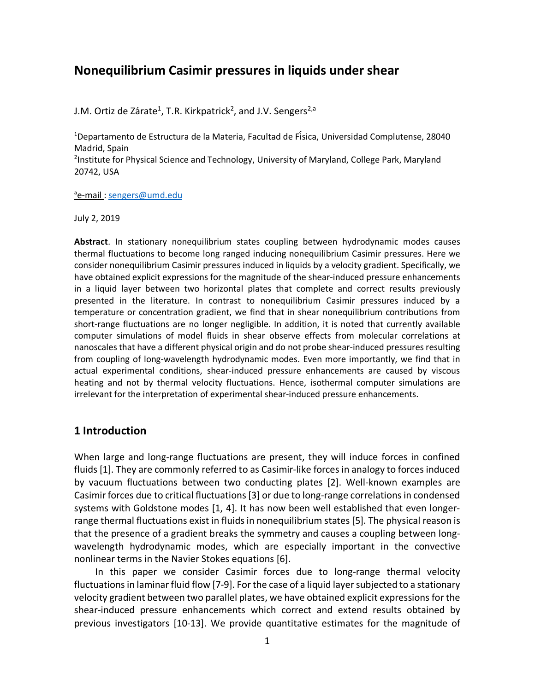# **Nonequilibrium Casimir pressures in liquids under shear**

J.M. Ortiz de Zárate<sup>1</sup>, T.R. Kirkpatrick<sup>2</sup>, and J.V. Sengers<sup>2,a</sup>

<sup>1</sup>Departamento de Estructura de la Materia, Facultad de Física, Universidad Complutense, 28040 Madrid, Spain

<sup>2</sup>Institute for Physical Science and Technology, University of Maryland, College Park, Maryland 20742, USA

<sup>a</sup>e-mail : sengers@umd.edu

July 2, 2019

**Abstract**. In stationary nonequilibrium states coupling between hydrodynamic modes causes thermal fluctuations to become long ranged inducing nonequilibrium Casimir pressures. Here we consider nonequilibrium Casimir pressures induced in liquids by a velocity gradient. Specifically, we have obtained explicit expressions for the magnitude of the shear-induced pressure enhancements in a liquid layer between two horizontal plates that complete and correct results previously presented in the literature. In contrast to nonequilibrium Casimir pressures induced by a temperature or concentration gradient, we find that in shear nonequilibrium contributions from short-range fluctuations are no longer negligible. In addition, it is noted that currently available computer simulations of model fluids in shear observe effects from molecular correlations at nanoscales that have a different physical origin and do not probe shear-induced pressures resulting from coupling of long-wavelength hydrodynamic modes. Even more importantly, we find that in actual experimental conditions, shear-induced pressure enhancements are caused by viscous heating and not by thermal velocity fluctuations. Hence, isothermal computer simulations are irrelevant for the interpretation of experimental shear-induced pressure enhancements.

### **1 Introduction**

When large and long-range fluctuations are present, they will induce forces in confined fluids [1]. They are commonly referred to as Casimir-like forces in analogy to forces induced by vacuum fluctuations between two conducting plates [2]. Well-known examples are Casimir forces due to critical fluctuations [3] or due to long-range correlations in condensed systems with Goldstone modes [1, 4]. It has now been well established that even longerrange thermal fluctuations exist in fluids in nonequilibrium states [5]. The physical reason is that the presence of a gradient breaks the symmetry and causes a coupling between longwavelength hydrodynamic modes, which are especially important in the convective nonlinear terms in the Navier Stokes equations [6].

 In this paper we consider Casimir forces due to long-range thermal velocity fluctuations in laminar fluid flow [7-9]. For the case of a liquid layer subjected to a stationary velocity gradient between two parallel plates, we have obtained explicit expressions for the shear-induced pressure enhancements which correct and extend results obtained by previous investigators [10-13]. We provide quantitative estimates for the magnitude of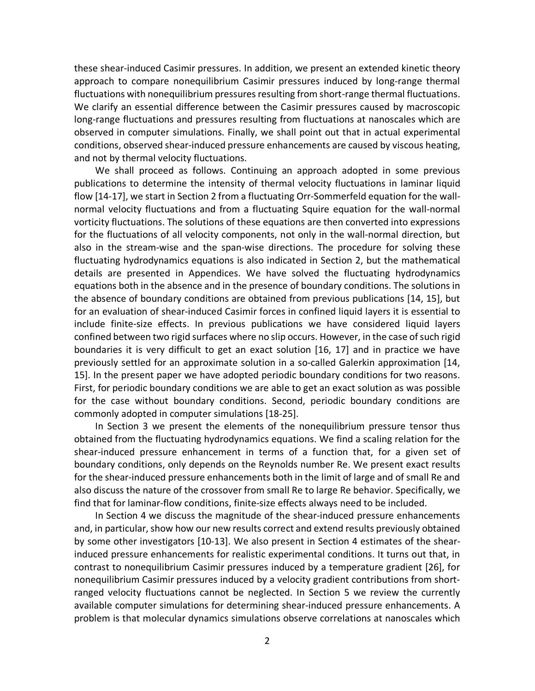these shear-induced Casimir pressures. In addition, we present an extended kinetic theory approach to compare nonequilibrium Casimir pressures induced by long-range thermal fluctuations with nonequilibrium pressures resulting from short-range thermal fluctuations. We clarify an essential difference between the Casimir pressures caused by macroscopic long-range fluctuations and pressures resulting from fluctuations at nanoscales which are observed in computer simulations. Finally, we shall point out that in actual experimental conditions, observed shear-induced pressure enhancements are caused by viscous heating, and not by thermal velocity fluctuations.

 We shall proceed as follows. Continuing an approach adopted in some previous publications to determine the intensity of thermal velocity fluctuations in laminar liquid flow [14-17], we start in Section 2 from a fluctuating Orr-Sommerfeld equation for the wallnormal velocity fluctuations and from a fluctuating Squire equation for the wall-normal vorticity fluctuations. The solutions of these equations are then converted into expressions for the fluctuations of all velocity components, not only in the wall-normal direction, but also in the stream-wise and the span-wise directions. The procedure for solving these fluctuating hydrodynamics equations is also indicated in Section 2, but the mathematical details are presented in Appendices. We have solved the fluctuating hydrodynamics equations both in the absence and in the presence of boundary conditions. The solutions in the absence of boundary conditions are obtained from previous publications [14, 15], but for an evaluation of shear-induced Casimir forces in confined liquid layers it is essential to include finite-size effects. In previous publications we have considered liquid layers confined between two rigid surfaces where no slip occurs. However, in the case of such rigid boundaries it is very difficult to get an exact solution [16, 17] and in practice we have previously settled for an approximate solution in a so-called Galerkin approximation [14, 15]. In the present paper we have adopted periodic boundary conditions for two reasons. First, for periodic boundary conditions we are able to get an exact solution as was possible for the case without boundary conditions. Second, periodic boundary conditions are commonly adopted in computer simulations [18-25].

 In Section 3 we present the elements of the nonequilibrium pressure tensor thus obtained from the fluctuating hydrodynamics equations. We find a scaling relation for the shear-induced pressure enhancement in terms of a function that, for a given set of boundary conditions, only depends on the Reynolds number Re. We present exact results for the shear-induced pressure enhancements both in the limit of large and of small Re and also discuss the nature of the crossover from small Re to large Re behavior. Specifically, we find that for laminar-flow conditions, finite-size effects always need to be included.

 In Section 4 we discuss the magnitude of the shear-induced pressure enhancements and, in particular, show how our new results correct and extend results previously obtained by some other investigators [10-13]. We also present in Section 4 estimates of the shearinduced pressure enhancements for realistic experimental conditions. It turns out that, in contrast to nonequilibrium Casimir pressures induced by a temperature gradient [26], for nonequilibrium Casimir pressures induced by a velocity gradient contributions from shortranged velocity fluctuations cannot be neglected. In Section 5 we review the currently available computer simulations for determining shear-induced pressure enhancements. A problem is that molecular dynamics simulations observe correlations at nanoscales which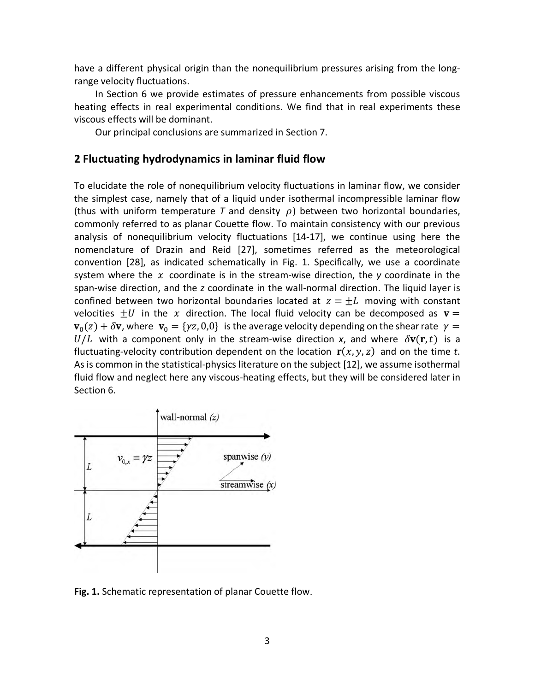have a different physical origin than the nonequilibrium pressures arising from the longrange velocity fluctuations.

 In Section 6 we provide estimates of pressure enhancements from possible viscous heating effects in real experimental conditions. We find that in real experiments these viscous effects will be dominant.

Our principal conclusions are summarized in Section 7.

# **2 Fluctuating hydrodynamics in laminar fluid flow**

To elucidate the role of nonequilibrium velocity fluctuations in laminar flow, we consider the simplest case, namely that of a liquid under isothermal incompressible laminar flow (thus with uniform temperature  $T$  and density  $\rho$ ) between two horizontal boundaries, commonly referred to as planar Couette flow. To maintain consistency with our previous analysis of nonequilibrium velocity fluctuations [14-17], we continue using here the nomenclature of Drazin and Reid [27], sometimes referred as the meteorological convention [28], as indicated schematically in Fig. 1. Specifically, we use a coordinate system where the x coordinate is in the stream-wise direction, the y coordinate in the span-wise direction, and the *z* coordinate in the wall-normal direction. The liquid layer is confined between two horizontal boundaries located at  $z = \pm L$  moving with constant velocities  $\pm U$  in the x direction. The local fluid velocity can be decomposed as  ${\bf v} =$  ${\bf v}_0(z) + \delta {\bf v}$ , where  ${\bf v}_0 = {\gamma z, 0,0}$  is the average velocity depending on the shear rate  $\gamma =$  $U/L$  with a component only in the stream-wise direction x, and where  $\delta v(\mathbf{r},t)$  is a fluctuating-velocity contribution dependent on the location  $\mathbf{r}(x, y, z)$  and on the time *t*. As is common in the statistical-physics literature on the subject [12], we assume isothermal fluid flow and neglect here any viscous-heating effects, but they will be considered later in Section 6.



**Fig. 1.** Schematic representation of planar Couette flow.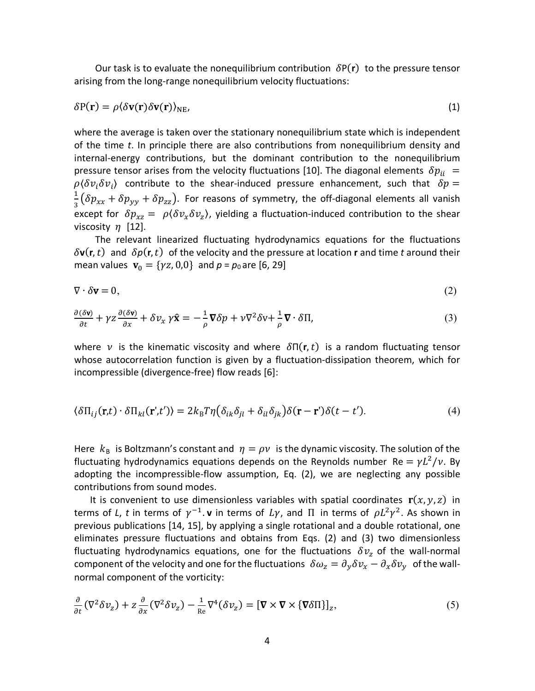Our task is to evaluate the nonequilibrium contribution  $\delta P(r)$  to the pressure tensor arising from the long-range nonequilibrium velocity fluctuations:

$$
\delta P(\mathbf{r}) = \rho \langle \delta \mathbf{v}(\mathbf{r}) \delta \mathbf{v}(\mathbf{r}) \rangle_{\text{NE}} \tag{1}
$$

where the average is taken over the stationary nonequilibrium state which is independent of the time *t*. In principle there are also contributions from nonequilibrium density and internal-energy contributions, but the dominant contribution to the nonequilibrium pressure tensor arises from the velocity fluctuations [10]. The diagonal elements  $\delta p_{ii}$  =  $\rho(\delta v_i \delta v_i)$  contribute to the shear-induced pressure enhancement, such that  $\delta p =$  $\frac{1}{3}(\delta p_{xx} + \delta p_{yy} + \delta p_{zz})$ . For reasons of symmetry, the off-diagonal elements all vanish except for  $\delta p_{xz} = \rho \langle \delta v_x \delta v_z \rangle$ , yielding a fluctuation-induced contribution to the shear viscosity  $\eta$  [12].

 The relevant linearized fluctuating hydrodynamics equations for the fluctuations  $\delta$ **v**(**r**, *t*) and  $\delta p$ (**r**, *t*) of the velocity and the pressure at location **r** and time *t* around their mean values  $v_0 = \{yz, 0, 0\}$  and  $p = p_0$  are [6, 29]

$$
\nabla \cdot \delta \mathbf{v} = 0,\tag{2}
$$

$$
\frac{\partial(\delta \mathbf{v})}{\partial t} + \gamma z \frac{\partial(\delta \mathbf{v})}{\partial x} + \delta v_x \gamma \hat{\mathbf{x}} = -\frac{1}{\rho} \nabla \delta p + \nu \nabla^2 \delta v + \frac{1}{\rho} \nabla \cdot \delta \Pi,
$$
\n(3)

where v is the kinematic viscosity and where  $\delta \Pi(\mathbf{r},t)$  is a random fluctuating tensor whose autocorrelation function is given by a fluctuation-dissipation theorem, which for incompressible (divergence-free) flow reads [6]:

$$
\langle \delta \Pi_{ij}(\mathbf{r},t) \cdot \delta \Pi_{kl}(\mathbf{r}',t') \rangle = 2k_{\rm B}T\eta \big( \delta_{ik}\delta_{jl} + \delta_{il}\delta_{jk} \big) \delta(\mathbf{r}-\mathbf{r}')\delta(t-t'). \tag{4}
$$

Here  $k_B$  is Boltzmann's constant and  $\eta = \rho v$  is the dynamic viscosity. The solution of the fluctuating hydrodynamics equations depends on the Reynolds number Re =  $\gamma L^2/v$ . By adopting the incompressible-flow assumption, Eq. (2), we are neglecting any possible contributions from sound modes.

It is convenient to use dimensionless variables with spatial coordinates  $\mathbf{r}(x, y, z)$  in terms of *L*, *t* in terms of  $\gamma^{-1}$ . **v** in terms of  $Ly$ , and  $\Pi$  in terms of  $\rho L^2 \gamma^2$ . As shown in previous publications [14, 15], by applying a single rotational and a double rotational, one eliminates pressure fluctuations and obtains from Eqs. (2) and (3) two dimensionless fluctuating hydrodynamics equations, one for the fluctuations  $\delta v_{z}$  of the wall-normal component of the velocity and one for the fluctuations  $\delta \omega_z = \partial_y \delta v_x - \partial_x \delta v_y$  of the wallnormal component of the vorticity:

$$
\frac{\partial}{\partial t} (\nabla^2 \delta v_z) + z \frac{\partial}{\partial x} (\nabla^2 \delta v_z) - \frac{1}{\text{Re}} \nabla^4 (\delta v_z) = [\nabla \times \nabla \times \{\nabla \delta \Pi\}]_z,\tag{5}
$$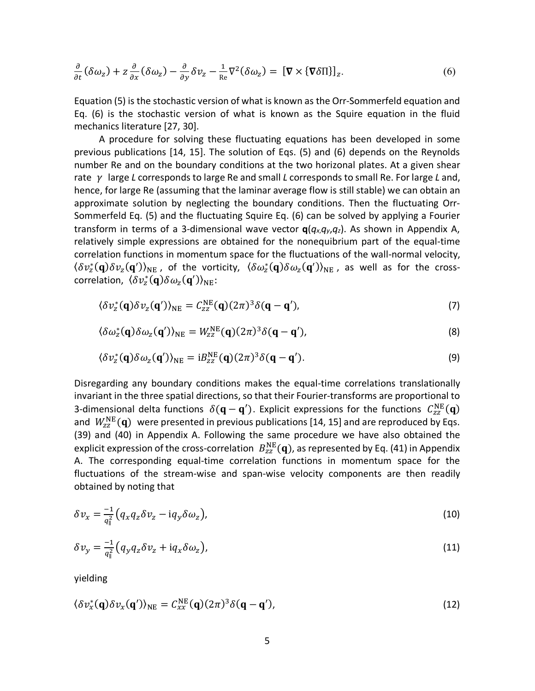$$
\frac{\partial}{\partial t} (\delta \omega_z) + z \frac{\partial}{\partial x} (\delta \omega_z) - \frac{\partial}{\partial y} \delta v_z - \frac{1}{\text{Re}} \nabla^2 (\delta \omega_z) = [\nabla \times {\nabla \delta \Pi}]_z.
$$
\n(6)

Equation (5) is the stochastic version of what is known as the Orr-Sommerfeld equation and Eq. (6) is the stochastic version of what is known as the Squire equation in the fluid mechanics literature [27, 30].

A procedure for solving these fluctuating equations has been developed in some previous publications [14, 15]. The solution of Eqs. (5) and (6) depends on the Reynolds number Re and on the boundary conditions at the two horizonal plates. At a given shear rate *γ* large *L* corresponds to large Re and small *L* corresponds to small Re. For large *L* and, hence, for large Re (assuming that the laminar average flow is still stable) we can obtain an approximate solution by neglecting the boundary conditions. Then the fluctuating Orr-Sommerfeld Eq. (5) and the fluctuating Squire Eq. (6) can be solved by applying a Fourier transform in terms of a 3-dimensional wave vector **q**(*qx*,*qy*,*qz*). As shown in Appendix A, relatively simple expressions are obtained for the nonequibrium part of the equal-time correlation functions in momentum space for the fluctuations of the wall-normal velocity,  $\langle \delta v_z^*(\mathbf{q}) \delta v_z(\mathbf{q}') \rangle_{\text{NE}}$  , of the vorticity,  $\langle \delta \omega_z^*(\mathbf{q}) \delta \omega_z(\mathbf{q}') \rangle_{\text{NE}}$  , as well as for the crosscorrelation,  $\langle \delta v_z^*(\mathbf{q}) \delta \omega_z(\mathbf{q}') \rangle_{\text{NE}}$ :

$$
\langle \delta v_z^*(\mathbf{q}) \delta v_z(\mathbf{q}') \rangle_{\text{NE}} = C_{zz}^{\text{NE}}(\mathbf{q}) (2\pi)^3 \delta(\mathbf{q} - \mathbf{q}'), \tag{7}
$$

$$
\langle \delta \omega_z^*(\mathbf{q}) \delta \omega_z(\mathbf{q}') \rangle_{\text{NE}} = W_{zz}^{\text{NE}}(\mathbf{q}) (2\pi)^3 \delta(\mathbf{q} - \mathbf{q}'), \tag{8}
$$

$$
\langle \delta v_z^*(\mathbf{q}) \delta \omega_z(\mathbf{q}') \rangle_{\text{NE}} = i B_{zz}^{\text{NE}}(\mathbf{q}) (2\pi)^3 \delta(\mathbf{q} - \mathbf{q}'). \tag{9}
$$

Disregarding any boundary conditions makes the equal-time correlations translationally invariant in the three spatial directions, so that their Fourier-transforms are proportional to 3-dimensional delta functions  $\delta(\mathbf{q}-\mathbf{q}')$ . Explicit expressions for the functions  $C_{\rm zz}^{\rm NE}(\mathbf{q})$ and  $W_{\rm zz}^{\rm NE}(\mathbf{q})$  were presented in previous publications [14, 15] and are reproduced by Eqs. (39) and (40) in Appendix A. Following the same procedure we have also obtained the explicit expression of the cross-correlation  $\ B^{\text{NE}}_{zz}(\mathbf{q})$ , as represented by Eq. (41) in Appendix A. The corresponding equal-time correlation functions in momentum space for the fluctuations of the stream-wise and span-wise velocity components are then readily obtained by noting that

$$
\delta v_x = \frac{-1}{q_{\parallel}^2} \left( q_x q_z \delta v_z - i q_y \delta \omega_z \right),\tag{10}
$$

$$
\delta v_y = \frac{-1}{q_{\parallel}^2} \left( q_y q_z \delta v_z + i q_x \delta \omega_z \right),\tag{11}
$$

yielding

$$
\langle \delta v_x^*(\mathbf{q}) \delta v_x(\mathbf{q}') \rangle_{\text{NE}} = C_{xx}^{\text{NE}}(\mathbf{q}) (2\pi)^3 \delta(\mathbf{q} - \mathbf{q}'), \tag{12}
$$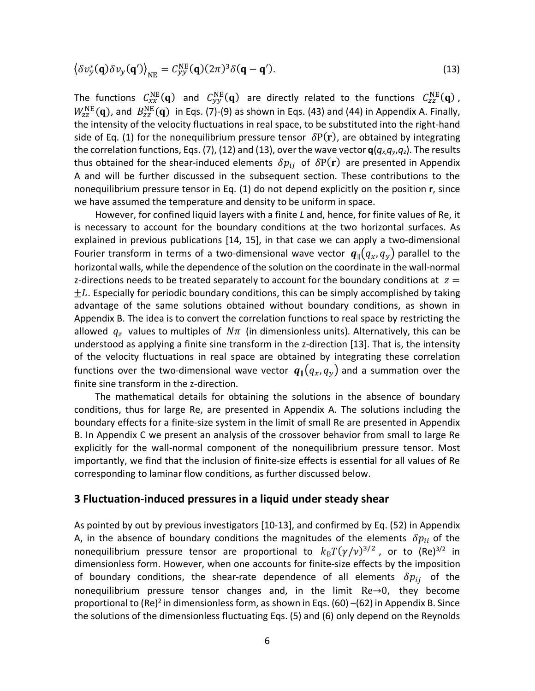$$
\langle \delta v_y^*(\mathbf{q}) \delta v_y(\mathbf{q}') \rangle_{\text{NE}} = C_{yy}^{\text{NE}}(\mathbf{q}) (2\pi)^3 \delta(\mathbf{q} - \mathbf{q}'). \tag{13}
$$

The functions  $C_{xx}^{NE}(\bf{q})$  and  $C_{yy}^{NE}(\bf{q})$  are directly related to the functions  $C_{zz}^{NE}(\bf{q})$ ,  $W_{\rm zz}^{\rm NE}(\mathbf{q})$ , and  $\ B_{\rm zz}^{\rm NE}(\mathbf{q})$  in Eqs. (7)-(9) as shown in Eqs. (43) and (44) in Appendix A. Finally, the intensity of the velocity fluctuations in real space, to be substituted into the right-hand side of Eq. (1) for the nonequilibrium pressure tensor  $\delta P(\bf{r})$ , are obtained by integrating the correlation functions, Eqs. (7), (12) and (13), over the wave vector  $q(q_x,q_y,q_z)$ . The results thus obtained for the shear-induced elements  $\delta p_{ij}$  of  $\delta P(r)$  are presented in Appendix A and will be further discussed in the subsequent section. These contributions to the nonequilibrium pressure tensor in Eq. (1) do not depend explicitly on the position **r**, since we have assumed the temperature and density to be uniform in space.

 However, for confined liquid layers with a finite *L* and, hence, for finite values of Re, it is necessary to account for the boundary conditions at the two horizontal surfaces. As explained in previous publications [14, 15], in that case we can apply a two-dimensional Fourier transform in terms of a two-dimensional wave vector  $q_{\parallel}(q_x, q_y)$  parallel to the horizontal walls, while the dependence of the solution on the coordinate in the wall-normal z-directions needs to be treated separately to account for the boundary conditions at  $z =$  $\pm L$ . Especially for periodic boundary conditions, this can be simply accomplished by taking advantage of the same solutions obtained without boundary conditions, as shown in Appendix B. The idea is to convert the correlation functions to real space by restricting the allowed  $q_z$  values to multiples of  $N\pi$  (in dimensionless units). Alternatively, this can be understood as applying a finite sine transform in the z-direction [13]. That is, the intensity of the velocity fluctuations in real space are obtained by integrating these correlation functions over the two-dimensional wave vector  $q_{\parallel}(q_x, q_y)$  and a summation over the finite sine transform in the z-direction.

 The mathematical details for obtaining the solutions in the absence of boundary conditions, thus for large Re, are presented in Appendix A. The solutions including the boundary effects for a finite-size system in the limit of small Re are presented in Appendix B. In Appendix C we present an analysis of the crossover behavior from small to large Re explicitly for the wall-normal component of the nonequilibrium pressure tensor. Most importantly, we find that the inclusion of finite-size effects is essential for all values of Re corresponding to laminar flow conditions, as further discussed below.

#### **3 Fluctuation-induced pressures in a liquid under steady shear**

As pointed by out by previous investigators [10-13], and confirmed by Eq. (52) in Appendix A, in the absence of boundary conditions the magnitudes of the elements  $\delta p_{ii}$  of the nonequilibrium pressure tensor are proportional to  $k_BT(y/v)^{3/2}$ , or to (Re)<sup>3/2</sup> in dimensionless form. However, when one accounts for finite-size effects by the imposition of boundary conditions, the shear-rate dependence of all elements  $\delta p_{ij}$  of the nonequilibrium pressure tensor changes and, in the limit Re→0, they become proportional to (Re)<sup>2</sup> in dimensionless form, as shown in Eqs. (60) –(62) in Appendix B. Since the solutions of the dimensionless fluctuating Eqs. (5) and (6) only depend on the Reynolds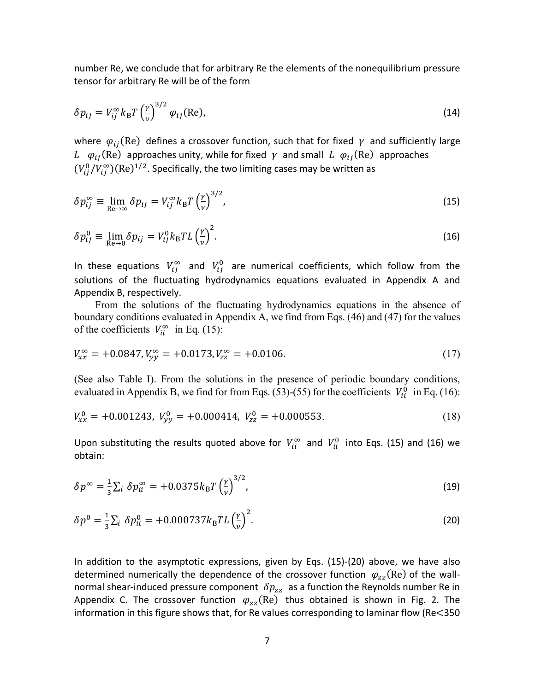number Re, we conclude that for arbitrary Re the elements of the nonequilibrium pressure tensor for arbitrary Re will be of the form

$$
\delta p_{ij} = V_{ij}^{\infty} k_{\text{B}} T \left(\frac{\gamma}{\nu}\right)^{3/2} \varphi_{ij} \text{(Re)},\tag{14}
$$

where  $\varphi_{ij}$ (Re) defines a crossover function, such that for fixed  $\gamma$  and sufficiently large L  $\varphi_{ij}$ (Re) approaches unity, while for fixed  $\gamma$  and small L  $\varphi_{ij}$ (Re) approaches  $(V_{ij}^0/V_{ij}^\infty)$ (Re)<sup>1/2</sup>. Specifically, the two limiting cases may be written as

$$
\delta p_{ij}^{\infty} \equiv \lim_{\text{Re}\to\infty} \delta p_{ij} = V_{ij}^{\infty} k_{\text{B}} T \left(\frac{\gamma}{\nu}\right)^{3/2},\tag{15}
$$

$$
\delta p_{ij}^0 \equiv \lim_{\text{Re}\to 0} \delta p_{ij} = V_{ij}^0 k_\text{B} T L \left(\frac{\gamma}{\nu}\right)^2. \tag{16}
$$

In these equations  $V_{ij}^{\infty}$  and  $V_{ij}^{0}$  are numerical coefficients, which follow from the solutions of the fluctuating hydrodynamics equations evaluated in Appendix A and Appendix B, respectively.

 From the solutions of the fluctuating hydrodynamics equations in the absence of boundary conditions evaluated in Appendix A, we find from Eqs. (46) and (47) for the values of the coefficients  $V_{ii}^{\infty}$  in Eq. (15):

$$
V_{xx}^{\infty} = +0.0847, V_{yy}^{\infty} = +0.0173, V_{zz}^{\infty} = +0.0106.
$$
 (17)

(See also Table I). From the solutions in the presence of periodic boundary conditions, evaluated in Appendix B, we find for from Eqs. (53)-(55) for the coefficients  $V_{ii}^0$  in Eq. (16):

$$
V_{xx}^0 = +0.001243, V_{yy}^0 = +0.000414, V_{zz}^0 = +0.000553.
$$
 (18)

Upon substituting the results quoted above for  $V_{ii}^{\infty}$  and  $V_{ii}^{0}$  into Eqs. (15) and (16) we obtain:

$$
\delta p^{\infty} = \frac{1}{3} \sum_{i} \delta p_{ii}^{\infty} = +0.0375 k_{\rm B} T \left(\frac{\gamma}{\nu}\right)^{3/2},\tag{19}
$$

$$
\delta p^0 = \frac{1}{3} \sum_i \delta p_{ii}^0 = +0.000737 k_B T L \left(\frac{\gamma}{\nu}\right)^2.
$$
 (20)

In addition to the asymptotic expressions, given by Eqs. (15)-(20) above, we have also determined numerically the dependence of the crossover function  $\varphi_{zz}(\text{Re})$  of the wallnormal shear-induced pressure component  $\delta p_{zz}$  as a function the Reynolds number Re in Appendix C. The crossover function  $\varphi_{zz}(Re)$  thus obtained is shown in Fig. 2. The information in this figure shows that, for Re values corresponding to laminar flow (Re<350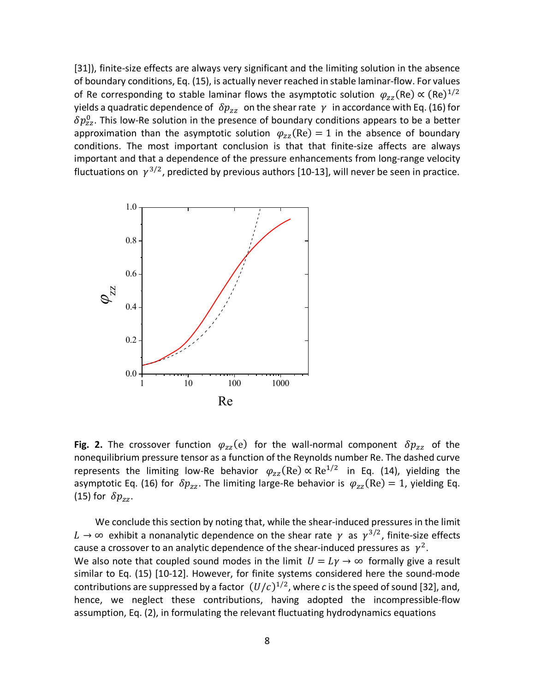[31]), finite-size effects are always very significant and the limiting solution in the absence of boundary conditions, Eq. (15), is actually never reached in stable laminar-flow. For values of Re corresponding to stable laminar flows the asymptotic solution  $\varphi_{zz}(\text{Re}) \propto (\text{Re})^{1/2}$ yields a quadratic dependence of  $\delta p_{zz}$  on the shear rate  $\gamma$  in accordance with Eq. (16) for  $\delta p_{\rm zz}^0$ . This low-Re solution in the presence of boundary conditions appears to be a better approximation than the asymptotic solution  $\varphi_{zz}(Re) = 1$  in the absence of boundary conditions. The most important conclusion is that that finite-size affects are always important and that a dependence of the pressure enhancements from long-range velocity fluctuations on  $\gamma^{3/2}$ , predicted by previous authors [10-13], will never be seen in practice.



**Fig. 2.** The crossover function  $\varphi_{zz}(e)$  for the wall-normal component  $\delta p_{zz}$  of the nonequilibrium pressure tensor as a function of the Reynolds number Re. The dashed curve represents the limiting low-Re behavior  $\varphi_{zz}(Re) \propto Re^{1/2}$  in Eq. (14), yielding the asymptotic Eq. (16) for  $\delta p_{zz}$ . The limiting large-Re behavior is  $\varphi_{zz}(Re) = 1$ , yielding Eq. (15) for  $\delta p_{zz}$ .

 We conclude this section by noting that, while the shear-induced pressures in the limit  $L \rightarrow \infty$  exhibit a nonanalytic dependence on the shear rate  $\gamma$  as  $\gamma^{3/2}$ , finite-size effects cause a crossover to an analytic dependence of the shear-induced pressures as  $\gamma^2$ . We also note that coupled sound modes in the limit  $U = Ly \rightarrow \infty$  formally give a result similar to Eq. (15) [10-12]. However, for finite systems considered here the sound-mode contributions are suppressed by a factor  $(U/c)^{1/2}$ , where *c* is the speed of sound [32], and, hence, we neglect these contributions, having adopted the incompressible-flow assumption, Eq. (2), in formulating the relevant fluctuating hydrodynamics equations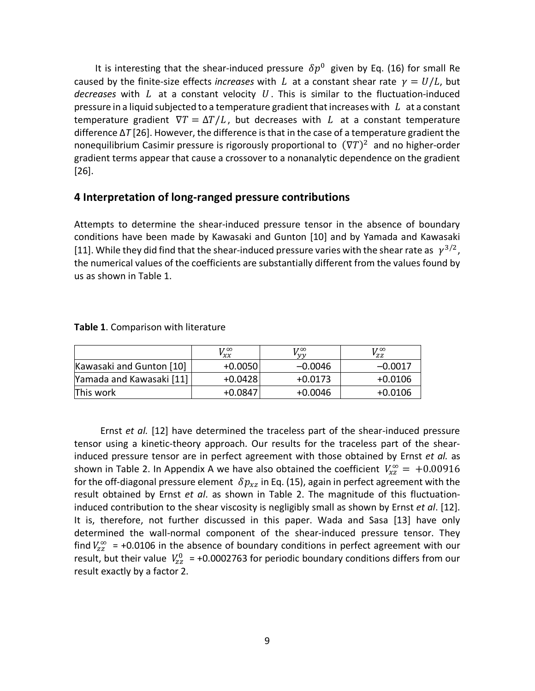It is interesting that the shear-induced pressure  $\delta p^0$  given by Eq. (16) for small Re caused by the finite-size effects *increases* with L at a constant shear rate  $\gamma = U/L$ , but *decreases* with  $L$  at a constant velocity  $U$ . This is similar to the fluctuation-induced pressure in a liquid subjected to a temperature gradient that increases with  $L$  at a constant temperature gradient  $\nabla T = \Delta T/L$ , but decreases with L at a constant temperature difference Δ*T* [26]. However, the difference is that in the case of a temperature gradient the nonequilibrium Casimir pressure is rigorously proportional to  $(\nabla T)^2$  and no higher-order gradient terms appear that cause a crossover to a nonanalytic dependence on the gradient [26].

# **4 Interpretation of long-ranged pressure contributions**

Attempts to determine the shear-induced pressure tensor in the absence of boundary conditions have been made by Kawasaki and Gunton [10] and by Yamada and Kawasaki [11]. While they did find that the shear-induced pressure varies with the shear rate as  $Y^{3/2}$ , the numerical values of the coefficients are substantially different from the values found by us as shown in Table 1.

|                          | 1700<br>$V_{\chi\chi}$ | 1700<br>$\sqrt{v}$ | $V_{\scriptscriptstyle ZZ}^\infty$ |
|--------------------------|------------------------|--------------------|------------------------------------|
| Kawasaki and Gunton [10] | $+0.0050$              | $-0.0046$          | $-0.0017$                          |
| Yamada and Kawasaki [11] | $+0.0428$              | $+0.0173$          | $+0.0106$                          |
| This work                | $+0.0847$              | $+0.0046$          | $+0.0106$                          |

**Table 1**. Comparison with literature

 Ernst *et al.* [12] have determined the traceless part of the shear-induced pressure tensor using a kinetic-theory approach. Our results for the traceless part of the shearinduced pressure tensor are in perfect agreement with those obtained by Ernst *et al.* as shown in Table 2. In Appendix A we have also obtained the coefficient  $V_{xz}^{\infty} = +0.00916$ for the off-diagonal pressure element  $\delta p_{xz}$  in Eq. (15), again in perfect agreement with the result obtained by Ernst *et al*. as shown in Table 2. The magnitude of this fluctuationinduced contribution to the shear viscosity is negligibly small as shown by Ernst *et al*. [12]. It is, therefore, not further discussed in this paper. Wada and Sasa [13] have only determined the wall-normal component of the shear-induced pressure tensor. They find  $V_{zz}^{\infty}$  = +0.0106 in the absence of boundary conditions in perfect agreement with our result, but their value  $V_{zz}^0$  = +0.0002763 for periodic boundary conditions differs from our result exactly by a factor 2.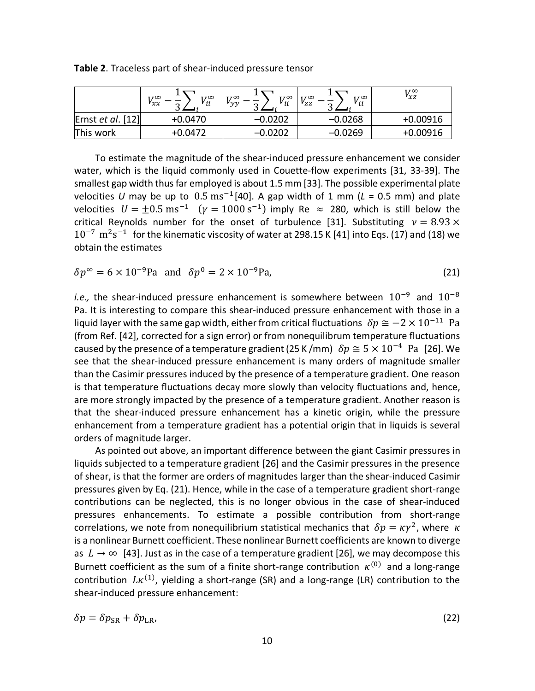|                     | $T \times 00$<br>T / 00<br>$v_{xx}$<br>v <sub>ii</sub><br>⌒ | $V_{ii}^{\infty}$<br>T/200<br>$v_{yy}$<br>ີ | $V_{ii}^{\infty}$<br>T/200<br>$v_{ZZ}$<br>⌒<br>ш | T / 00<br>$v_{xz}$ |
|---------------------|-------------------------------------------------------------|---------------------------------------------|--------------------------------------------------|--------------------|
| Ernst $et al.$ [12] | $+0.0470$                                                   | -0.0202                                     | $-0.0268$                                        | $+0.00916$         |
| This work           | $+0.0472$                                                   | -0.0202                                     | $-0.0269$                                        | $+0.00916$         |

**Table 2**. Traceless part of shear-induced pressure tensor

 To estimate the magnitude of the shear-induced pressure enhancement we consider water, which is the liquid commonly used in Couette-flow experiments [31, 33-39]. The smallest gap width thus far employed is about 1.5 mm [33]. The possible experimental plate velocities *U* may be up to  $0.5 \text{ ms}^{-1}$ [40]. A gap width of 1 mm ( $L = 0.5$  mm) and plate velocities  $U = \pm 0.5 \text{ ms}^{-1}$  ( $\gamma = 1000 \text{ s}^{-1}$ ) imply Re  $\approx$  280, which is still below the critical Reynolds number for the onset of turbulence [31]. Substituting  $v = 8.93 \times$  $10^{-7}$   $\mathrm{m^2s^{-1}}$  for the kinematic viscosity of water at 298.15 K [41] into Eqs. (17) and (18) we obtain the estimates

$$
\delta p^{\infty} = 6 \times 10^{-9} \text{Pa} \text{ and } \delta p^0 = 2 \times 10^{-9} \text{Pa}, \tag{21}
$$

*i.e.*, the shear-induced pressure enhancement is somewhere between  $10^{-9}$  and  $10^{-8}$ Pa. It is interesting to compare this shear-induced pressure enhancement with those in a liquid layer with the same gap width, either from critical fluctuations  $\delta p \approx -2 \times 10^{-11}$  Pa (from Ref. [42], corrected for a sign error) or from nonequilibrum temperature fluctuations caused by the presence of a temperature gradient (25 K /mm)  $\delta p \approx 5 \times 10^{-4}$  Pa [26]. We see that the shear-induced pressure enhancement is many orders of magnitude smaller than the Casimir pressures induced by the presence of a temperature gradient. One reason is that temperature fluctuations decay more slowly than velocity fluctuations and, hence, are more strongly impacted by the presence of a temperature gradient. Another reason is that the shear-induced pressure enhancement has a kinetic origin, while the pressure enhancement from a temperature gradient has a potential origin that in liquids is several orders of magnitude larger.

 As pointed out above, an important difference between the giant Casimir pressures in liquids subjected to a temperature gradient [26] and the Casimir pressures in the presence of shear, is that the former are orders of magnitudes larger than the shear-induced Casimir pressures given by Eq. (21). Hence, while in the case of a temperature gradient short-range contributions can be neglected, this is no longer obvious in the case of shear-induced pressures enhancements. To estimate a possible contribution from short-range correlations, we note from nonequilibrium statistical mechanics that  $\delta p = \kappa \gamma^2$ , where  $\kappa$ is a nonlinear Burnett coefficient. These nonlinear Burnett coefficients are known to diverge as  $L \rightarrow \infty$  [43]. Just as in the case of a temperature gradient [26], we may decompose this Burnett coefficient as the sum of a finite short-range contribution  $\kappa^{(0)}$  and a long-range contribution  $L\kappa^{(1)}$ , yielding a short-range (SR) and a long-range (LR) contribution to the shear-induced pressure enhancement:

$$
\delta p = \delta p_{\rm SR} + \delta p_{\rm LR},\tag{22}
$$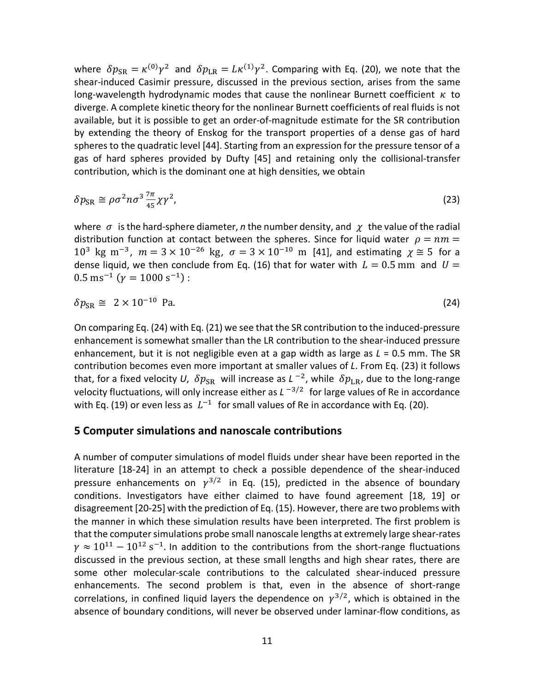where  $\delta p_{\rm SR} = \kappa^{(0)} \gamma^2$  and  $\delta p_{\rm LR} = L \kappa^{(1)} \gamma^2$ . Comparing with Eq. (20), we note that the shear-induced Casimir pressure, discussed in the previous section, arises from the same long-wavelength hydrodynamic modes that cause the nonlinear Burnett coefficient  $\kappa$  to diverge. A complete kinetic theory for the nonlinear Burnett coefficients of real fluids is not available, but it is possible to get an order-of-magnitude estimate for the SR contribution by extending the theory of Enskog for the transport properties of a dense gas of hard spheres to the quadratic level [44]. Starting from an expression for the pressure tensor of a gas of hard spheres provided by Dufty [45] and retaining only the collisional-transfer contribution, which is the dominant one at high densities, we obtain

$$
\delta p_{\rm SR} \cong \rho \sigma^2 n \sigma^3 \frac{7\pi}{45} \chi \gamma^2, \tag{23}
$$

where  $\sigma$  is the hard-sphere diameter, *n* the number density, and  $\gamma$  the value of the radial distribution function at contact between the spheres. Since for liquid water  $\rho = nm =$  $10^3$  kg m<sup>-3</sup>,  $m=3\times10^{-26}$  kg,  $\sigma=3\times10^{-10}$  m [41], and estimating  $\gamma \approx 5$  for a dense liquid, we then conclude from Eq. (16) that for water with  $L = 0.5$  mm and  $U =$  $0.5 \text{ ms}^{-1}$  ( $\gamma = 1000 \text{ s}^{-1}$ ) :

$$
\delta p_{\rm SR} \cong 2 \times 10^{-10} \text{ Pa.}
$$
 (24)

On comparing Eq. (24) with Eq. (21) we see that the SR contribution to the induced-pressure enhancement is somewhat smaller than the LR contribution to the shear-induced pressure enhancement, but it is not negligible even at a gap width as large as *L* = 0.5 mm. The SR contribution becomes even more important at smaller values of *L*. From Eq. (23) it follows that, for a fixed velocity *U*,  $\delta p_{SR}$  will increase as *L* <sup>-2</sup>, while  $\delta p_{LR}$ , due to the long-range velocity fluctuations, will only increase either as  $L^{-3/2}$  for large values of Re in accordance with Eq. (19) or even less as  $L^{-1}$  for small values of Re in accordance with Eq. (20).

# **5 Computer simulations and nanoscale contributions**

A number of computer simulations of model fluids under shear have been reported in the literature [18-24] in an attempt to check a possible dependence of the shear-induced pressure enhancements on  $\gamma^{3/2}$  in Eq. (15), predicted in the absence of boundary conditions. Investigators have either claimed to have found agreement [18, 19] or disagreement [20-25] with the prediction of Eq. (15). However, there are two problems with the manner in which these simulation results have been interpreted. The first problem is that the computer simulations probe small nanoscale lengths at extremely large shear-rates  $\gamma \approx 10^{11} - 10^{12}$  s<sup>-1</sup>. In addition to the contributions from the short-range fluctuations discussed in the previous section, at these small lengths and high shear rates, there are some other molecular-scale contributions to the calculated shear-induced pressure enhancements. The second problem is that, even in the absence of short-range correlations, in confined liquid layers the dependence on  $\gamma^{3/2}$ , which is obtained in the absence of boundary conditions, will never be observed under laminar-flow conditions, as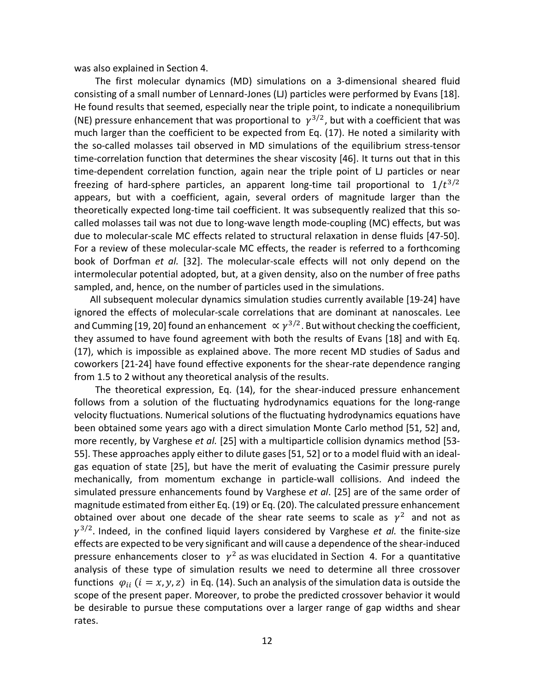was also explained in Section 4.

 The first molecular dynamics (MD) simulations on a 3-dimensional sheared fluid consisting of a small number of Lennard-Jones (LJ) particles were performed by Evans [18]. He found results that seemed, especially near the triple point, to indicate a nonequilibrium (NE) pressure enhancement that was proportional to  $\gamma^{3/2}$ , but with a coefficient that was much larger than the coefficient to be expected from Eq. (17). He noted a similarity with the so-called molasses tail observed in MD simulations of the equilibrium stress-tensor time-correlation function that determines the shear viscosity [46]. It turns out that in this time-dependent correlation function, again near the triple point of LJ particles or near freezing of hard-sphere particles, an apparent long-time tail proportional to  $1/t^{3/2}$ appears, but with a coefficient, again, several orders of magnitude larger than the theoretically expected long-time tail coefficient. It was subsequently realized that this socalled molasses tail was not due to long-wave length mode-coupling (MC) effects, but was due to molecular-scale MC effects related to structural relaxation in dense fluids [47-50]. For a review of these molecular-scale MC effects, the reader is referred to a forthcoming book of Dorfman *et al.* [32]. The molecular-scale effects will not only depend on the intermolecular potential adopted, but, at a given density, also on the number of free paths sampled, and, hence, on the number of particles used in the simulations.

 All subsequent molecular dynamics simulation studies currently available [19-24] have ignored the effects of molecular-scale correlations that are dominant at nanoscales. Lee and Cumming [19, 20] found an enhancement  $\propto \gamma^{3/2}$ . But without checking the coefficient, they assumed to have found agreement with both the results of Evans [18] and with Eq. (17), which is impossible as explained above. The more recent MD studies of Sadus and coworkers [21-24] have found effective exponents for the shear-rate dependence ranging from 1.5 to 2 without any theoretical analysis of the results.

 The theoretical expression, Eq. (14), for the shear-induced pressure enhancement follows from a solution of the fluctuating hydrodynamics equations for the long-range velocity fluctuations. Numerical solutions of the fluctuating hydrodynamics equations have been obtained some years ago with a direct simulation Monte Carlo method [51, 52] and, more recently, by Varghese *et al.* [25] with a multiparticle collision dynamics method [53- 55]. These approaches apply either to dilute gases [51, 52] or to a model fluid with an idealgas equation of state [25], but have the merit of evaluating the Casimir pressure purely mechanically, from momentum exchange in particle-wall collisions. And indeed the simulated pressure enhancements found by Varghese *et al*. [25] are of the same order of magnitude estimated from either Eq. (19) or Eq. (20). The calculated pressure enhancement obtained over about one decade of the shear rate seems to scale as  $\gamma^2$  and not as  $\gamma^{3/2}$ . Indeed, in the confined liquid layers considered by Varghese *et al.* the finite-size effects are expected to be very significant and will cause a dependence of the shear-induced pressure enhancements closer to  $\gamma^2$  as was elucidated in Section 4. For a quantitative analysis of these type of simulation results we need to determine all three crossover functions  $\varphi_{ii}$  ( $i = x, y, z$ ) in Eq. (14). Such an analysis of the simulation data is outside the scope of the present paper. Moreover, to probe the predicted crossover behavior it would be desirable to pursue these computations over a larger range of gap widths and shear rates.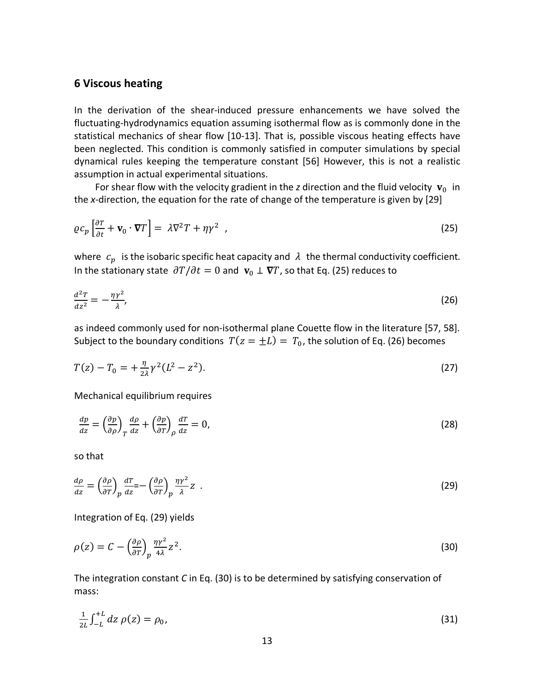# **6 Viscous heating**

In the derivation of the shear-induced pressure enhancements we have solved the fluctuating-hydrodynamics equation assuming isothermal flow as is commonly done in the statistical mechanics of shear flow [10-13]. That is, possible viscous heating effects have been neglected. This condition is commonly satisfied in computer simulations by special dynamical rules keeping the temperature constant [56] However, this is not a realistic assumption in actual experimental situations.

For shear flow with the velocity gradient in the *z* direction and the fluid velocity  $v_0$  in the *x*-direction, the equation for the rate of change of the temperature is given by [29]

$$
\varrho c_p \left[ \frac{\partial T}{\partial t} + \mathbf{v}_0 \cdot \nabla T \right] = \lambda \nabla^2 T + \eta \gamma^2 \quad , \tag{25}
$$

where  $c_p$  is the isobaric specific heat capacity and  $\lambda$  the thermal conductivity coefficient. In the stationary state  $\partial T / \partial t = 0$  and  $\mathbf{v}_0 \perp \nabla T$ , so that Eq. (25) reduces to

$$
\frac{d^2T}{dz^2} = -\frac{\eta\gamma^2}{\lambda},\tag{26}
$$

as indeed commonly used for non-isothermal plane Couette flow in the literature [57, 58]. Subject to the boundary conditions  $T(z = \pm L) = T_0$ , the solution of Eq. (26) becomes

$$
T(z) - T_0 = +\frac{\eta}{2\lambda} \gamma^2 (L^2 - z^2).
$$
 (27)

Mechanical equilibrium requires

$$
\frac{dp}{dz} = \left(\frac{\partial p}{\partial \rho}\right)_T \frac{d\rho}{dz} + \left(\frac{\partial p}{\partial T}\right)_\rho \frac{dT}{dz} = 0,
$$
\n(28)

so that

$$
\frac{d\rho}{dz} = \left(\frac{\partial \rho}{\partial T}\right)_p \frac{dT}{dz} = -\left(\frac{\partial \rho}{\partial T}\right)_p \frac{\eta \gamma^2}{\lambda} Z \quad . \tag{29}
$$

Integration of Eq. (29) yields

$$
\rho(z) = C - \left(\frac{\partial \rho}{\partial T}\right)_{p} \frac{\eta \gamma^{2}}{4\lambda} z^{2}.
$$
\n(30)

The integration constant *C* in Eq. (30) is to be determined by satisfying conservation of mass:

$$
\frac{1}{2L} \int_{-L}^{+L} dz \, \rho(z) = \rho_0,\tag{31}
$$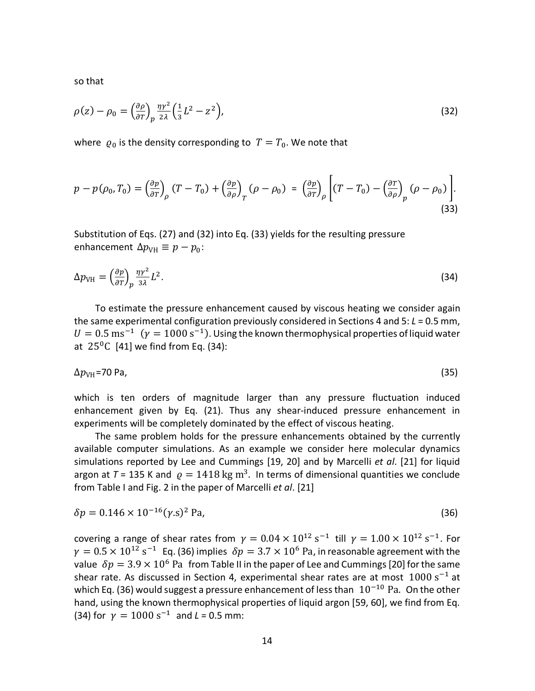so that

$$
\rho(z) - \rho_0 = \left(\frac{\partial \rho}{\partial \tau}\right)_p \frac{\eta \gamma^2}{2\lambda} \left(\frac{1}{3}L^2 - z^2\right),\tag{32}
$$

where  $\varrho_0$  is the density corresponding to  $T = T_0$ . We note that

$$
p - p(\rho_0, T_0) = \left(\frac{\partial p}{\partial T}\right)_{\rho} (T - T_0) + \left(\frac{\partial p}{\partial \rho}\right)_{T} (\rho - \rho_0) = \left(\frac{\partial p}{\partial T}\right)_{\rho} \left[ (T - T_0) - \left(\frac{\partial T}{\partial \rho}\right)_{p} (\rho - \rho_0) \right].
$$
\n(33)

Substitution of Eqs. (27) and (32) into Eq. (33) yields for the resulting pressure enhancement  $\Delta p_{\text{VH}} \equiv p - p_0$ :

$$
\Delta p_{\text{VH}} = \left(\frac{\partial p}{\partial T}\right)_p \frac{\eta \gamma^2}{3\lambda} L^2. \tag{34}
$$

 To estimate the pressure enhancement caused by viscous heating we consider again the same experimental configuration previously considered in Sections 4 and 5: *L* = 0.5 mm,  $U = 0.5$  ms<sup>-1</sup> ( $\gamma = 1000$  s<sup>-1</sup>). Using the known thermophysical properties of liquid water at  $25^{\circ}$ C [41] we find from Eq. (34):

$$
\Delta p_{\text{VH}} = 70 \text{ Pa},\tag{35}
$$

which is ten orders of magnitude larger than any pressure fluctuation induced enhancement given by Eq. (21). Thus any shear-induced pressure enhancement in experiments will be completely dominated by the effect of viscous heating.

 The same problem holds for the pressure enhancements obtained by the currently available computer simulations. As an example we consider here molecular dynamics simulations reported by Lee and Cummings [19, 20] and by Marcelli *et al*. [21] for liquid argon at  $T = 135$  K and  $\rho = 1418$  kg m<sup>3</sup>. In terms of dimensional quantities we conclude from Table I and Fig. 2 in the paper of Marcelli *et al*. [21]

$$
\delta p = 0.146 \times 10^{-16} (\gamma \, \text{s})^2 \text{ Pa},\tag{36}
$$

covering a range of shear rates from  $\gamma = 0.04 \times 10^{12} \text{ s}^{-1}$  till  $\gamma = 1.00 \times 10^{12} \text{ s}^{-1}$ . For  $\gamma = 0.5 \times 10^{12} \text{ s}^{-1}$  Eq. (36) implies  $\delta p = 3.7 \times 10^6 \text{ Pa}$ , in reasonable agreement with the value  $\delta p = 3.9 \times 10^6$  Pa from Table II in the paper of Lee and Cummings [20] for the same shear rate. As discussed in Section 4, experimental shear rates are at most  $1000 s^{-1}$  at which Eq. (36) would suggest a pressure enhancement of less than  $10^{-10}$  Pa. On the other hand, using the known thermophysical properties of liquid argon [59, 60], we find from Eq. (34) for  $\gamma = 1000 \text{ s}^{-1}$  and  $L = 0.5 \text{ mm}$ :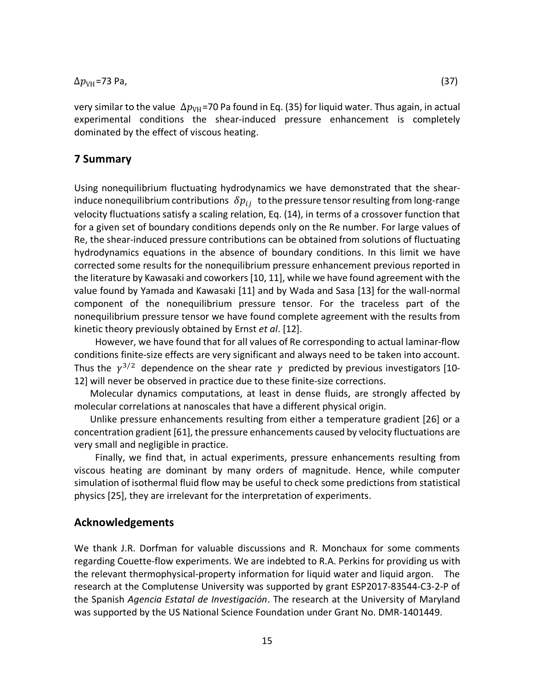$\Delta p_{\text{VH}}$ =73 Pa, (37)

very similar to the value  $\Delta p_{\text{VH}}$ =70 Pa found in Eq. (35) for liquid water. Thus again, in actual experimental conditions the shear-induced pressure enhancement is completely dominated by the effect of viscous heating.

# **7 Summary**

Using nonequilibrium fluctuating hydrodynamics we have demonstrated that the shearinduce nonequilibrium contributions  $\delta p_{ij}$  to the pressure tensor resulting from long-range velocity fluctuations satisfy a scaling relation, Eq. (14), in terms of a crossover function that for a given set of boundary conditions depends only on the Re number. For large values of Re, the shear-induced pressure contributions can be obtained from solutions of fluctuating hydrodynamics equations in the absence of boundary conditions. In this limit we have corrected some results for the nonequilibrium pressure enhancement previous reported in the literature by Kawasaki and coworkers [10, 11], while we have found agreement with the value found by Yamada and Kawasaki [11] and by Wada and Sasa [13] for the wall-normal component of the nonequilibrium pressure tensor. For the traceless part of the nonequilibrium pressure tensor we have found complete agreement with the results from kinetic theory previously obtained by Ernst *et al*. [12].

 However, we have found that for all values of Re corresponding to actual laminar-flow conditions finite-size effects are very significant and always need to be taken into account. Thus the  $\gamma^{3/2}$  dependence on the shear rate  $\gamma$  predicted by previous investigators [10-12] will never be observed in practice due to these finite-size corrections.

 Molecular dynamics computations, at least in dense fluids, are strongly affected by molecular correlations at nanoscales that have a different physical origin.

 Unlike pressure enhancements resulting from either a temperature gradient [26] or a concentration gradient [61], the pressure enhancements caused by velocity fluctuations are very small and negligible in practice.

 Finally, we find that, in actual experiments, pressure enhancements resulting from viscous heating are dominant by many orders of magnitude. Hence, while computer simulation of isothermal fluid flow may be useful to check some predictions from statistical physics [25], they are irrelevant for the interpretation of experiments.

#### **Acknowledgements**

We thank J.R. Dorfman for valuable discussions and R. Monchaux for some comments regarding Couette-flow experiments. We are indebted to R.A. Perkins for providing us with the relevant thermophysical-property information for liquid water and liquid argon. The research at the Complutense University was supported by grant ESP2017-83544-C3-2-P of the Spanish *Agencia Estatal de Investigación*. The research at the University of Maryland was supported by the US National Science Foundation under Grant No. DMR-1401449.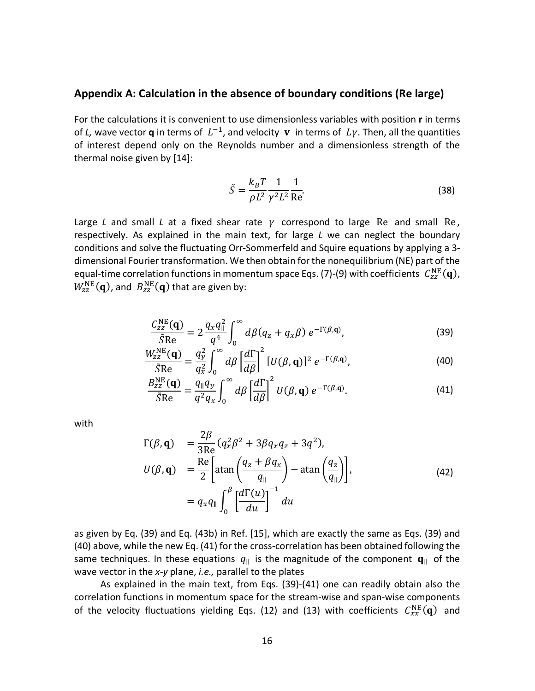#### **Appendix A: Calculation in the absence of boundary conditions (Re large)**

For the calculations it is convenient to use dimensionless variables with position **r** in terms of *L*, wave vector **q** in terms of  $L^{-1}$ , and velocity **v** in terms of  $L\gamma$ . Then, all the quantities of interest depend only on the Reynolds number and a dimensionless strength of the thermal noise given by [14]:

$$
\tilde{S} = \frac{k_B T}{\rho L^2} \frac{1}{\gamma^2 L^2} \frac{1}{\text{Re}}.\tag{38}
$$

Large *L* and small *L* at a fixed shear rate  $\gamma$  correspond to large Re and small Re, respectively. As explained in the main text, for large *L* we can neglect the boundary conditions and solve the fluctuating Orr-Sommerfeld and Squire equations by applying a 3 dimensional Fourier transformation. We then obtain for the nonequilibrium (NE) part of the equal-time correlation functions in momentum space Eqs. (7)-(9) with coefficients  $\ C_{\rm zz}^{\rm NE}({\bf q})$ ,  $W_{\rm zz}^{\rm NE}(\mathbf{q})$ , and  $\ B_{\rm zz}^{\rm NE}(\mathbf{q})$  that are given by:

$$
\frac{C_{zz}^{\text{NE}}(\mathbf{q})}{\tilde{S}\text{Re}} = 2 \frac{q_x q_{\parallel}^2}{q^4} \int_0^{\infty} d\beta (q_z + q_x \beta) e^{-\Gamma(\beta, \mathbf{q})},\tag{39}
$$

$$
\frac{W_{ZZ}^{\text{NE}}(\mathbf{q})}{\tilde{S}\text{Re}} = \frac{q_y^2}{q_x^2} \int_0^\infty d\beta \left[ \frac{d\Gamma}{d\beta} \right]^2 [U(\beta, \mathbf{q})]^2 e^{-\Gamma(\beta, \mathbf{q})},\tag{40}
$$

$$
\frac{B_{zz}^{\text{NE}}(\mathbf{q})}{\tilde{S}\text{Re}} = \frac{q_{\parallel}q_{y}}{q^{2}q_{x}} \int_{0}^{\infty} d\beta \left[ \frac{d\Gamma}{d\beta} \right]^{2} U(\beta, \mathbf{q}) e^{-\Gamma(\beta, \mathbf{q})}.
$$
 (41)

with

$$
\Gamma(\beta, \mathbf{q}) = \frac{2\beta}{3\text{Re}} (q_x^2 \beta^2 + 3\beta q_x q_z + 3q^2),
$$
  
\n
$$
U(\beta, \mathbf{q}) = \frac{\text{Re}}{2} \left[ \text{atan} \left( \frac{q_z + \beta q_x}{q_{\parallel}} \right) - \text{atan} \left( \frac{q_z}{q_{\parallel}} \right) \right],
$$
  
\n
$$
= q_x q_{\parallel} \int_0^{\beta} \left[ \frac{d\Gamma(u)}{du} \right]^{-1} du
$$
\n(42)

as given by Eq. (39) and Eq. (43b) in Ref. [15], which are exactly the same as Eqs. (39) and (40) above, while the new Eq. (41) for the cross-correlation has been obtained following the same techniques. In these equations  $q_{\parallel}$  is the magnitude of the component  $\mathbf{q}_{\parallel}$  of the wave vector in the *x-y* plane, *i.e.,* parallel to the plates

 As explained in the main text, from Eqs. (39)-(41) one can readily obtain also the correlation functions in momentum space for the stream-wise and span-wise components of the velocity fluctuations yielding Eqs. (12) and (13) with coefficients  $C_{xx}^{NE}(\bf{q})$  and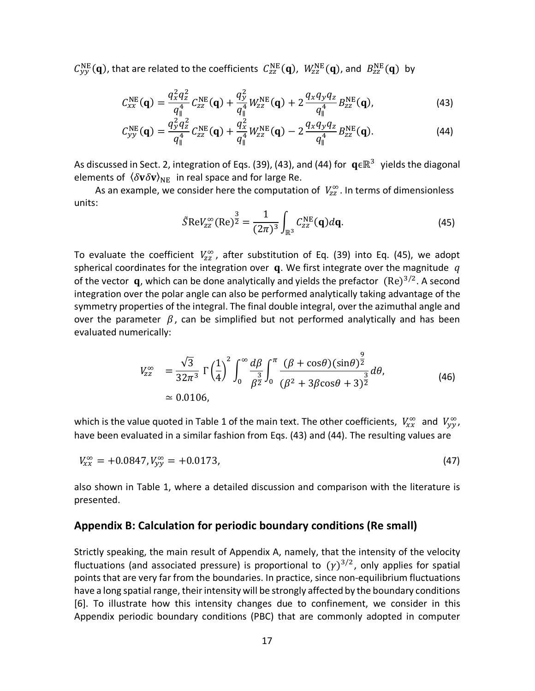$C_{yy}^{\text{NE}}(q)$ , that are related to the coefficients  $C_{zz}^{\text{NE}}(q)$ ,  $W_{zz}^{\text{NE}}(q)$ , and  $B_{zz}^{\text{NE}}(q)$  by

$$
C_{xx}^{\text{NE}}(\mathbf{q}) = \frac{q_x^2 q_z^2}{q_{\parallel}^4} C_{zz}^{\text{NE}}(\mathbf{q}) + \frac{q_y^2}{q_{\parallel}^4} W_{zz}^{\text{NE}}(\mathbf{q}) + 2 \frac{q_x q_y q_z}{q_{\parallel}^4} B_{zz}^{\text{NE}}(\mathbf{q}), \tag{43}
$$

$$
C_{yy}^{\text{NE}}(\mathbf{q}) = \frac{q_y^2 q_z^2}{q_{\parallel}^4} C_{zz}^{\text{NE}}(\mathbf{q}) + \frac{q_x^2}{q_{\parallel}^4} W_{zz}^{\text{NE}}(\mathbf{q}) - 2 \frac{q_x q_y q_z}{q_{\parallel}^4} B_{zz}^{\text{NE}}(\mathbf{q}). \tag{44}
$$

As discussed in Sect. 2, integration of Eqs. (39), (43), and (44) for  $q \in \mathbb{R}^3$  yields the diagonal elements of  $\langle \delta v \delta v \rangle_{\text{NE}}$  in real space and for large Re.

As an example, we consider here the computation of  $V_{zz}^{\infty}$ . In terms of dimensionless units:

$$
\tilde{S} \text{Re} V_{zz}^{\infty} (\text{Re})^{\frac{3}{2}} = \frac{1}{(2\pi)^3} \int_{\mathbb{R}^3} C_{zz}^{\text{NE}} (\mathbf{q}) d\mathbf{q}.
$$
 (45)

To evaluate the coefficient  $V_{zz}^{\infty}$ , after substitution of Eq. (39) into Eq. (45), we adopt spherical coordinates for the integration over  $\boldsymbol{q}$ . We first integrate over the magnitude  $q$ of the vector  $\,$ q, which can be done analytically and yields the prefactor  $\,$  (Re)<sup>3/2</sup>. A second integration over the polar angle can also be performed analytically taking advantage of the symmetry properties of the integral. The final double integral, over the azimuthal angle and over the parameter  $\beta$ , can be simplified but not performed analytically and has been evaluated numerically:

$$
V_{zz}^{\infty} = \frac{\sqrt{3}}{32\pi^3} \Gamma\left(\frac{1}{4}\right)^2 \int_0^{\infty} \frac{d\beta}{\beta^{\frac{3}{2}}} \int_0^{\pi} \frac{(\beta + \cos\theta)(\sin\theta)^{\frac{9}{2}}}{(\beta^2 + 3\beta\cos\theta + 3)^{\frac{3}{2}}} d\theta, \tag{46}
$$
  
\approx 0.0106,

which is the value quoted in Table 1 of the main text. The other coefficients,  $V_{xx}^{\infty}$  and  $V_{yy}^{\infty}$ , have been evaluated in a similar fashion from Eqs. (43) and (44). The resulting values are

$$
V_{xx}^{\infty} = +0.0847, V_{yy}^{\infty} = +0.0173, \tag{47}
$$

also shown in Table 1, where a detailed discussion and comparison with the literature is presented.

# **Appendix B: Calculation for periodic boundary conditions (Re small)**

Strictly speaking, the main result of Appendix A, namely, that the intensity of the velocity fluctuations (and associated pressure) is proportional to  $(\gamma)^{3/2}$ , only applies for spatial points that are very far from the boundaries. In practice, since non-equilibrium fluctuations have a long spatial range, their intensity will be strongly affected by the boundary conditions [6]. To illustrate how this intensity changes due to confinement, we consider in this Appendix periodic boundary conditions (PBC) that are commonly adopted in computer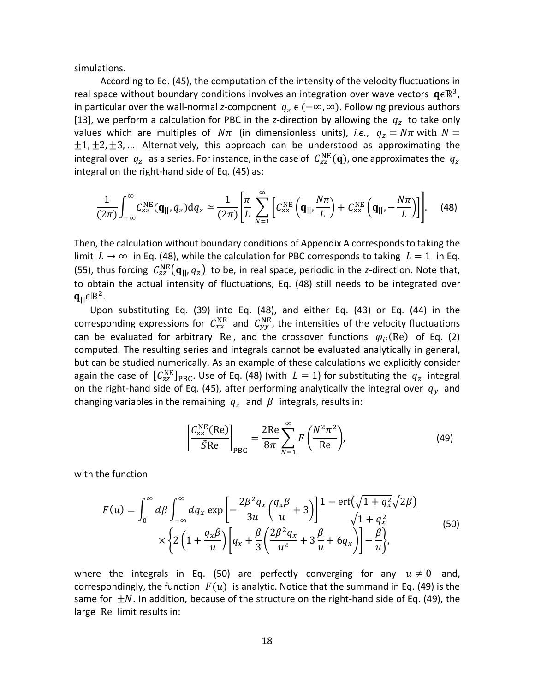simulations.

 According to Eq. (45), the computation of the intensity of the velocity fluctuations in real space without boundary conditions involves an integration over wave vectors  $\mathbf{q} \in \mathbb{R}^3$ , in particular over the wall-normal *z*-component  $q_z \in (-\infty, \infty)$ . Following previous authors [13], we perform a calculation for PBC in the *z*-direction by allowing the  $q<sub>z</sub>$  to take only values which are multiples of  $N\pi$  (in dimensionless units), *i.e.*,  $q_z = N\pi$  with  $N =$  $\pm 1, \pm 2, \pm 3, ...$  Alternatively, this approach can be understood as approximating the integral over  $q_z\;$  as a series. For instance, in the case of  $\; C^{\rm NE}_{zz} ({\bf q})$ , one approximates the  $\; q_z$ integral on the right-hand side of Eq. (45) as:

$$
\frac{1}{(2\pi)}\int_{-\infty}^{\infty}C_{zz}^{\text{NE}}(\mathbf{q}_{||},q_z)\,\mathrm{d}q_z\simeq\frac{1}{(2\pi)}\left[\frac{\pi}{L}\sum_{N=1}^{\infty}\left[C_{zz}^{\text{NE}}\left(\mathbf{q}_{||},\frac{N\pi}{L}\right)+C_{zz}^{\text{NE}}\left(\mathbf{q}_{||},-\frac{N\pi}{L}\right)\right]\right].\tag{48}
$$

Then, the calculation without boundary conditions of Appendix A corresponds to taking the limit  $L \rightarrow \infty$  in Eq. (48), while the calculation for PBC corresponds to taking  $L = 1$  in Eq. (55), thus forcing  $C_{zz}^{NE}(\mathbf{q}_{||}, q_z)$  to be, in real space, periodic in the *z*-direction. Note that, to obtain the actual intensity of fluctuations, Eq. (48) still needs to be integrated over  $q_{\parallel} \in \mathbb{R}^2$ .

 Upon substituting Eq. (39) into Eq. (48), and either Eq. (43) or Eq. (44) in the corresponding expressions for  $C_{xx}^{\text{NE}}$  and  $C_{yy}^{\text{NE}}$ , the intensities of the velocity fluctuations can be evaluated for arbitrary Re, and the crossover functions  $\varphi_{ii}$ (Re) of Eq. (2) computed. The resulting series and integrals cannot be evaluated analytically in general, but can be studied numerically. As an example of these calculations we explicitly consider again the case of  $\ [C_{\text{zz}}^{\text{NE}}]_{\text{PBC}}$ . Use of Eq. (48) (with  $\ L=1$ ) for substituting the  $\ q_{\text{z}}$  integral on the right-hand side of Eq. (45), after performing analytically the integral over  $q_v$  and changing variables in the remaining  $q_x$  and  $\beta$  integrals, results in:

$$
\left[\frac{C_{zz}^{NE}(Re)}{\tilde{S}Re}\right]_{PBC} = \frac{2Re}{8\pi} \sum_{N=1}^{\infty} F\left(\frac{N^2 \pi^2}{Re}\right),\tag{49}
$$

with the function

$$
F(u) = \int_0^\infty d\beta \int_{-\infty}^\infty dq_x \exp\left[-\frac{2\beta^2 q_x}{3u} \left(\frac{q_x \beta}{u} + 3\right)\right] \frac{1 - \text{erf}\left(\sqrt{1 + q_x^2}\sqrt{2\beta}\right)}{\sqrt{1 + q_x^2}} \times \left\{2\left(1 + \frac{q_x \beta}{u}\right)\left[q_x + \frac{\beta}{3}\left(\frac{2\beta^2 q_x}{u^2} + 3\frac{\beta}{u} + 6q_x\right)\right] - \frac{\beta}{u}\right\},\tag{50}
$$

where the integrals in Eq. (50) are perfectly converging for any  $u \neq 0$  and, correspondingly, the function  $F(u)$  is analytic. Notice that the summand in Eq. (49) is the same for  $\pm N$ . In addition, because of the structure on the right-hand side of Eq. (49), the large Re limit results in: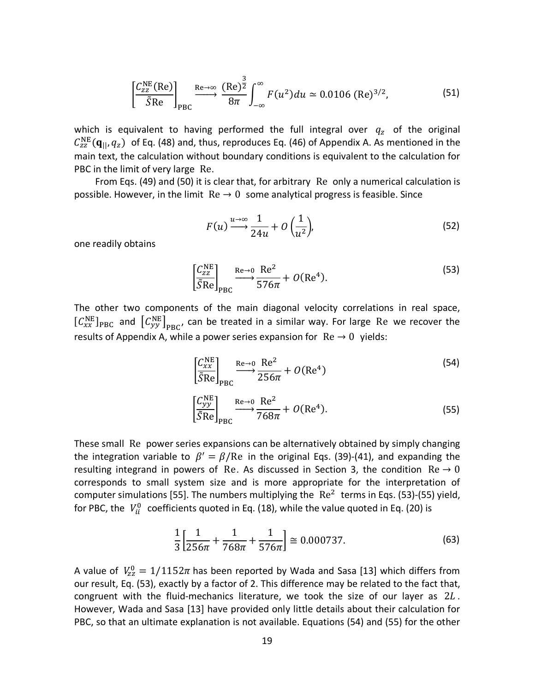$$
\left[\frac{C_{zz}^{NE}(Re)}{\tilde{S}Re}\right]_{PBC} \xrightarrow{Re \to \infty} \frac{(Re)^{\frac{3}{2}}}{8\pi} \int_{-\infty}^{\infty} F(u^2) du \simeq 0.0106 \text{ (Re)}^{3/2},\tag{51}
$$

which is equivalent to having performed the full integral over  $q_z$  of the original  $C_{zz}^{NE}(\mathbf{q}_{||}, q_z)$  of Eq. (48) and, thus, reproduces Eq. (46) of Appendix A. As mentioned in the main text, the calculation without boundary conditions is equivalent to the calculation for PBC in the limit of very large Re.

 From Eqs. (49) and (50) it is clear that, for arbitrary Re only a numerical calculation is possible. However, in the limit  $\text{Re} \rightarrow 0$  some analytical progress is feasible. Since

$$
F(u) \xrightarrow{u \to \infty} \frac{1}{24u} + O\left(\frac{1}{u^2}\right),\tag{52}
$$

one readily obtains

$$
\left[\frac{C_{zz}^{NE}}{\tilde{S}Re}\right]_{PBC} \xrightarrow{Re \to 0} \frac{Re^2}{576\pi} + O(Re^4). \tag{53}
$$

The other two components of the main diagonal velocity correlations in real space,  $[C_{xx}^{NE}]_{PBC}$  and  $[C_{yy}^{NE}]_{PBC}$ , can be treated in a similar way. For large Re we recover the results of Appendix A, while a power series expansion for  $\text{Re} \rightarrow 0$  yields:

$$
\left[\frac{C_{xx}^{NE}}{\tilde{S}Re}\right]_{PBC} \xrightarrow{Re \to 0} \frac{Re^2}{256\pi} + O(Re^4)
$$
\n(54)

$$
\left[\frac{C_{yy}^{\text{NE}}}{\tilde{S}\text{Re}}\right]_{\text{PBC}} \xrightarrow{\text{Re}\rightarrow 0} \frac{\text{Re}^2}{768\pi} + O(\text{Re}^4). \tag{55}
$$

These small Re power series expansions can be alternatively obtained by simply changing the integration variable to  $\beta' = \beta / Re$  in the original Eqs. (39)-(41), and expanding the resulting integrand in powers of Re. As discussed in Section 3, the condition  $Re \rightarrow 0$ corresponds to small system size and is more appropriate for the interpretation of computer simulations [55]. The numbers multiplying the  $\text{Re}^2$  terms in Eqs. (53)-(55) yield, for PBC, the  $\ V^0_{ii}$  coefficients quoted in Eq. (18), while the value quoted in Eq. (20) is

$$
\frac{1}{3} \left[ \frac{1}{256\pi} + \frac{1}{768\pi} + \frac{1}{576\pi} \right] \cong 0.000737. \tag{63}
$$

A value of  $V_{zz}^0 = 1/1152\pi$  has been reported by Wada and Sasa [13] which differs from our result, Eq. (53), exactly by a factor of 2. This difference may be related to the fact that, congruent with the fluid-mechanics literature, we took the size of our layer as  $2L$ . However, Wada and Sasa [13] have provided only little details about their calculation for PBC, so that an ultimate explanation is not available. Equations (54) and (55) for the other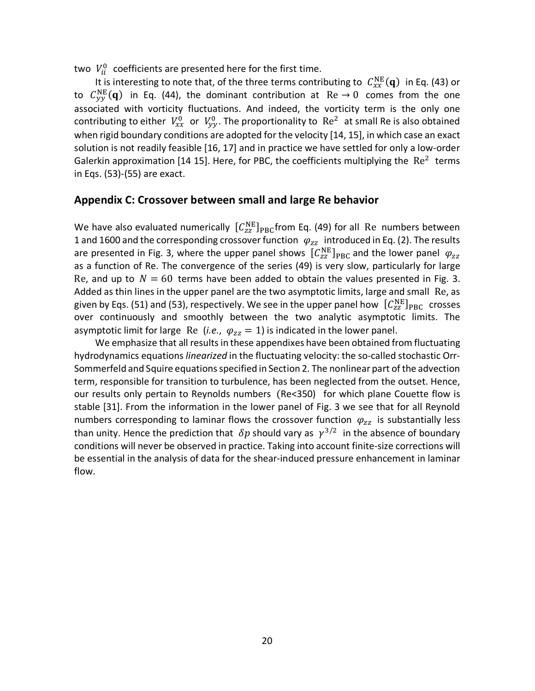two  $V_{ii}^0$  coefficients are presented here for the first time.

It is interesting to note that, of the three terms contributing to  $\ C_{xx}^{\text{NE}}(\mathbf{q})\,$  in Eq. (43) or to  $C_{yy}^{NE}(\mathbf{q})$  in Eq. (44), the dominant contribution at  $\text{Re} \rightarrow 0$  comes from the one associated with vorticity fluctuations. And indeed, the vorticity term is the only one contributing to either  $V_{xx}^0$  or  $V_{yy}^0$ . The proportionality to  $\Re$  Re<sup>2</sup> at small Re is also obtained when rigid boundary conditions are adopted for the velocity [14, 15], in which case an exact solution is not readily feasible [16, 17] and in practice we have settled for only a low-order Galerkin approximation [14 15]. Here, for PBC, the coefficients multiplying the  $\text{Re}^2$  terms in Eqs. (53)-(55) are exact.

# **Appendix C: Crossover between small and large Re behavior**

We have also evaluated numerically  $[C_{zz}^{NE}]_{PBC}$ from Eq. (49) for all Re numbers between 1 and 1600 and the corresponding crossover function  $\varphi_{zz}$  introduced in Eq. (2). The results are presented in Fig. 3, where the upper panel shows  $[\mathcal{C}_{zz}^{NE}]_{PBC}$  and the lower panel  $\varphi_{zz}$ as a function of Re. The convergence of the series (49) is very slow, particularly for large Re, and up to  $N = 60$  terms have been added to obtain the values presented in Fig. 3. Added as thin lines in the upper panel are the two asymptotic limits, large and small Re, as given by Eqs. (51) and (53), respectively. We see in the upper panel how  $\ [C_{ZZ}^{\rm NE}]_{\rm PBC}$  crosses over continuously and smoothly between the two analytic asymptotic limits. The asymptotic limit for large Re (*i.e.*,  $\varphi_{zz} = 1$ ) is indicated in the lower panel.

We emphasize that all results in these appendixes have been obtained from fluctuating hydrodynamics equations *linearized* in the fluctuating velocity: the so-called stochastic Orr-Sommerfeld and Squire equations specified in Section 2. The nonlinear part of the advection term, responsible for transition to turbulence, has been neglected from the outset. Hence, our results only pertain to Reynolds numbers (Re<350) for which plane Couette flow is stable [31]. From the information in the lower panel of Fig. 3 we see that for all Reynold numbers corresponding to laminar flows the crossover function  $\varphi_{zz}$  is substantially less than unity. Hence the prediction that  $\delta p$  should vary as  $\gamma^{3/2}$  in the absence of boundary conditions will never be observed in practice. Taking into account finite-size corrections will be essential in the analysis of data for the shear-induced pressure enhancement in laminar flow.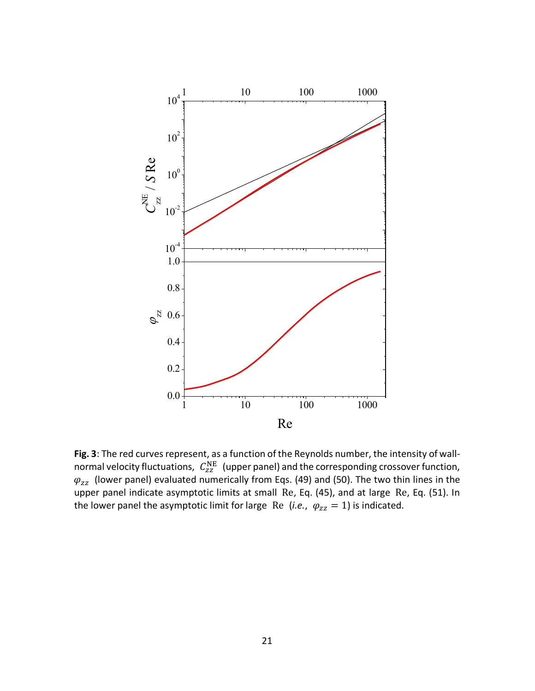

**Fig. 3**: The red curves represent, as a function of the Reynolds number, the intensity of wallnormal velocity fluctuations,  $\ C_{zz}^{\text{NE }}$  (upper panel) and the corresponding crossover function,  $\varphi_{zz}\,$  (lower panel) evaluated numerically from Eqs. (49) and (50). The two thin lines in the upper panel indicate asymptotic limits at small Re, Eq. (45), and at large Re, Eq. (51). In the lower panel the asymptotic limit for large Re (*i.e.*,  $\varphi_{zz} = 1$ ) is indicated.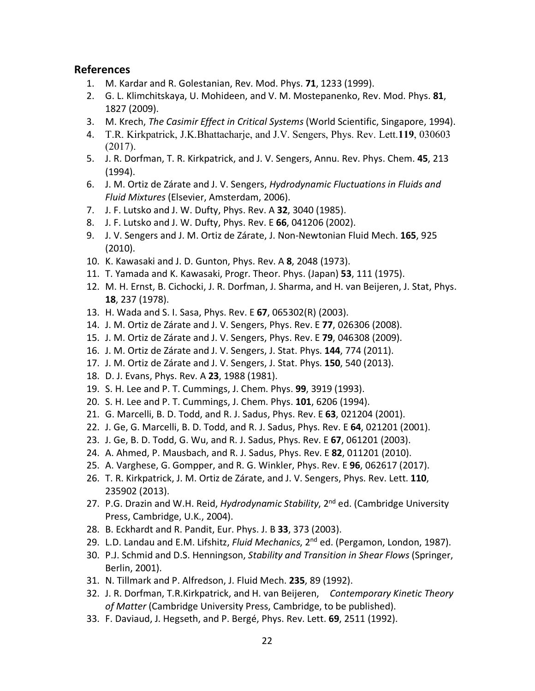# **References**

- 1. M. Kardar and R. Golestanian, Rev. Mod. Phys. **71**, 1233 (1999).
- 2. G. L. Klimchitskaya, U. Mohideen, and V. M. Mostepanenko, Rev. Mod. Phys. **81**, 1827 (2009).
- 3. M. Krech, *The Casimir Effect in Critical Systems* (World Scientific, Singapore, 1994).
- 4. T.R. Kirkpatrick, J.K.Bhattacharje, and J.V. Sengers, Phys. Rev. Lett.**119**, 030603 (2017).
- 5. J. R. Dorfman, T. R. Kirkpatrick, and J. V. Sengers, Annu. Rev. Phys. Chem. **45**, 213 (1994).
- 6. J. M. Ortiz de Zárate and J. V. Sengers, *Hydrodynamic Fluctuations in Fluids and Fluid Mixtures* (Elsevier, Amsterdam, 2006).
- 7. J. F. Lutsko and J. W. Dufty, Phys. Rev. A **32**, 3040 (1985).
- 8. J. F. Lutsko and J. W. Dufty, Phys. Rev. E **66**, 041206 (2002).
- 9. J. V. Sengers and J. M. Ortiz de Zárate, J. Non-Newtonian Fluid Mech. **165**, 925 (2010).
- 10. K. Kawasaki and J. D. Gunton, Phys. Rev. A **8**, 2048 (1973).
- 11. T. Yamada and K. Kawasaki, Progr. Theor. Phys. (Japan) **53**, 111 (1975).
- 12. M. H. Ernst, B. Cichocki, J. R. Dorfman, J. Sharma, and H. van Beijeren, J. Stat, Phys. **18**, 237 (1978).
- 13. H. Wada and S. I. Sasa, Phys. Rev. E **67**, 065302(R) (2003).
- 14. J. M. Ortiz de Zárate and J. V. Sengers, Phys. Rev. E **77**, 026306 (2008).
- 15. J. M. Ortiz de Zárate and J. V. Sengers, Phys. Rev. E **79**, 046308 (2009).
- 16. J. M. Ortiz de Zárate and J. V. Sengers, J. Stat. Phys. **144**, 774 (2011).
- 17. J. M. Ortiz de Zárate and J. V. Sengers, J. Stat. Phys. **150**, 540 (2013).
- 18. D. J. Evans, Phys. Rev. A **23**, 1988 (1981).
- 19. S. H. Lee and P. T. Cummings, J. Chem. Phys. **99**, 3919 (1993).
- 20. S. H. Lee and P. T. Cummings, J. Chem. Phys. **101**, 6206 (1994).
- 21. G. Marcelli, B. D. Todd, and R. J. Sadus, Phys. Rev. E **63**, 021204 (2001).
- 22. J. Ge, G. Marcelli, B. D. Todd, and R. J. Sadus, Phys. Rev. E **64**, 021201 (2001).
- 23. J. Ge, B. D. Todd, G. Wu, and R. J. Sadus, Phys. Rev. E **67**, 061201 (2003).
- 24. A. Ahmed, P. Mausbach, and R. J. Sadus, Phys. Rev. E **82**, 011201 (2010).
- 25. A. Varghese, G. Gompper, and R. G. Winkler, Phys. Rev. E **96**, 062617 (2017).
- 26. T. R. Kirkpatrick, J. M. Ortiz de Zárate, and J. V. Sengers, Phys. Rev. Lett. **110**, 235902 (2013).
- 27. P.G. Drazin and W.H. Reid, *Hydrodynamic Stability*, 2<sup>nd</sup> ed. (Cambridge University Press, Cambridge, U.K., 2004).
- 28. B. Eckhardt and R. Pandit, Eur. Phys. J. B **33**, 373 (2003).
- 29. L.D. Landau and E.M. Lifshitz, *Fluid Mechanics*, 2<sup>nd</sup> ed. (Pergamon, London, 1987).
- 30. P.J. Schmid and D.S. Henningson, *Stability and Transition in Shear Flows* (Springer, Berlin, 2001).
- 31. N. Tillmark and P. Alfredson, J. Fluid Mech. **235**, 89 (1992).
- 32. J. R. Dorfman, T.R.Kirkpatrick, and H. van Beijeren, *Contemporary Kinetic Theory of Matter* (Cambridge University Press, Cambridge, to be published).
- 33. F. Daviaud, J. Hegseth, and P. Bergé, Phys. Rev. Lett. **69**, 2511 (1992).